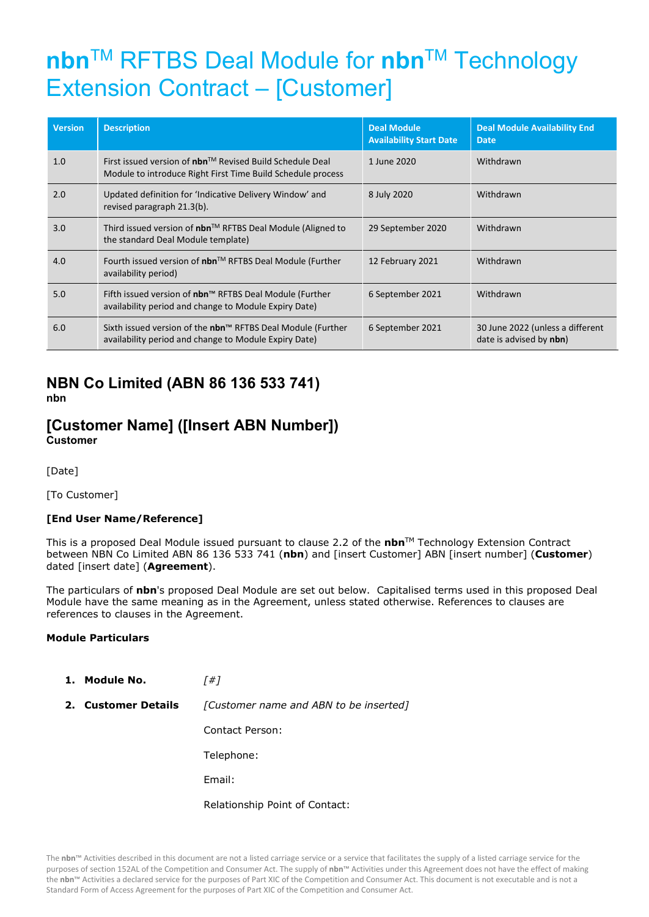# **nbn**TM RFTBS Deal Module for **nbn**TM Technology Extension Contract – [Customer]

| <b>Version</b> | <b>Description</b>                                                                                                               | <b>Deal Module</b><br><b>Availability Start Date</b> | <b>Deal Module Availability End</b><br><b>Date</b>          |
|----------------|----------------------------------------------------------------------------------------------------------------------------------|------------------------------------------------------|-------------------------------------------------------------|
| 1.0            | First issued version of $nbn^{TM}$ Revised Build Schedule Deal<br>Module to introduce Right First Time Build Schedule process    | 1 June 2020                                          | Withdrawn                                                   |
| 2.0            | Updated definition for 'Indicative Delivery Window' and<br>revised paragraph 21.3(b).                                            | 8 July 2020                                          | Withdrawn                                                   |
| 3.0            | Third issued version of nbn™ RFTBS Deal Module (Aligned to<br>the standard Deal Module template)                                 | 29 September 2020                                    | Withdrawn                                                   |
| 4.0            | Fourth issued version of $nbn^{TM}$ RFTBS Deal Module (Further<br>availability period)                                           | 12 February 2021                                     | Withdrawn                                                   |
| 5.0            | Fifth issued version of nbn™ RFTBS Deal Module (Further<br>availability period and change to Module Expiry Date)                 | 6 September 2021                                     | Withdrawn                                                   |
| 6.0            | Sixth issued version of the nbn <sup>™</sup> RFTBS Deal Module (Further<br>availability period and change to Module Expiry Date) | 6 September 2021                                     | 30 June 2022 (unless a different<br>date is advised by nbn) |

## **NBN Co Limited (ABN 86 136 533 741) nbn**

## **[Customer Name] ([Insert ABN Number]) Customer**

[Date]

[To Customer]

## **[End User Name/Reference]**

This is a proposed Deal Module issued pursuant to clause 2.2 of the **nbn**TM Technology Extension Contract between NBN Co Limited ABN 86 136 533 741 (**nbn**) and [insert Customer] ABN [insert number] (**Customer**) dated [insert date] (**Agreement**).

The particulars of **nbn**'s proposed Deal Module are set out below. Capitalised terms used in this proposed Deal Module have the same meaning as in the Agreement, unless stated otherwise. References to clauses are references to clauses in the Agreement.

#### **Module Particulars**

**1. Module No.** *[#]*

**2. Customer Details** *[Customer name and ABN to be inserted]*

Contact Person:

Telephone:

Email:

Relationship Point of Contact: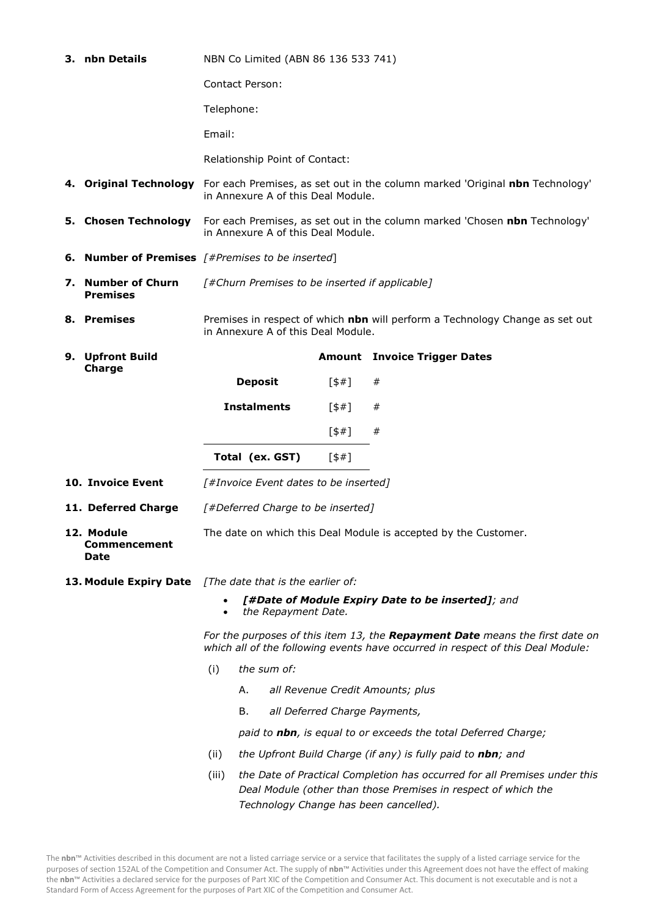|                                                                                                                                      | 3. nbn Details                            | NBN Co Limited (ABN 86 136 533 741)                                                                                                                                                            |                    |                                |                                                             |                                     |  |  |
|--------------------------------------------------------------------------------------------------------------------------------------|-------------------------------------------|------------------------------------------------------------------------------------------------------------------------------------------------------------------------------------------------|--------------------|--------------------------------|-------------------------------------------------------------|-------------------------------------|--|--|
|                                                                                                                                      |                                           | <b>Contact Person:</b>                                                                                                                                                                         |                    |                                |                                                             |                                     |  |  |
|                                                                                                                                      |                                           | Telephone:                                                                                                                                                                                     |                    |                                |                                                             |                                     |  |  |
|                                                                                                                                      |                                           | Email:                                                                                                                                                                                         |                    |                                |                                                             |                                     |  |  |
|                                                                                                                                      |                                           |                                                                                                                                                                                                |                    | Relationship Point of Contact: |                                                             |                                     |  |  |
|                                                                                                                                      |                                           | 4. Original Technology For each Premises, as set out in the column marked 'Original nbn Technology'<br>in Annexure A of this Deal Module.                                                      |                    |                                |                                                             |                                     |  |  |
|                                                                                                                                      | 5. Chosen Technology                      | For each Premises, as set out in the column marked 'Chosen nbn Technology'<br>in Annexure A of this Deal Module.                                                                               |                    |                                |                                                             |                                     |  |  |
|                                                                                                                                      |                                           | <b>6. Number of Premises</b> $[#Premises to be inserted]$                                                                                                                                      |                    |                                |                                                             |                                     |  |  |
|                                                                                                                                      | 7. Number of Churn<br><b>Premises</b>     | [#Churn Premises to be inserted if applicable]                                                                                                                                                 |                    |                                |                                                             |                                     |  |  |
|                                                                                                                                      | 8. Premises                               | Premises in respect of which nbn will perform a Technology Change as set out<br>in Annexure A of this Deal Module.                                                                             |                    |                                |                                                             |                                     |  |  |
|                                                                                                                                      | 9. Upfront Build                          |                                                                                                                                                                                                |                    |                                |                                                             | <b>Amount</b> Invoice Trigger Dates |  |  |
|                                                                                                                                      | Charge                                    |                                                                                                                                                                                                | <b>Deposit</b>     |                                | 5#1                                                         | #                                   |  |  |
|                                                                                                                                      |                                           |                                                                                                                                                                                                | <b>Instalments</b> |                                | 5#1                                                         | #                                   |  |  |
|                                                                                                                                      |                                           |                                                                                                                                                                                                |                    |                                | [\$#]                                                       | #                                   |  |  |
|                                                                                                                                      |                                           |                                                                                                                                                                                                | Total (ex. GST)    |                                | 5#1                                                         |                                     |  |  |
|                                                                                                                                      | 10. Invoice Event                         |                                                                                                                                                                                                |                    |                                | [#Invoice Event dates to be inserted]                       |                                     |  |  |
| 11. Deferred Charge                                                                                                                  |                                           | [#Deferred Charge to be inserted]                                                                                                                                                              |                    |                                |                                                             |                                     |  |  |
|                                                                                                                                      | 12. Module<br><b>Commencement</b><br>Date | The date on which this Deal Module is accepted by the Customer.                                                                                                                                |                    |                                |                                                             |                                     |  |  |
| 13. Module Expiry Date [The date that is the earlier of:<br>[#Date of Module Expiry Date to be inserted]; and<br>the Repayment Date. |                                           |                                                                                                                                                                                                |                    |                                |                                                             |                                     |  |  |
|                                                                                                                                      |                                           | For the purposes of this item 13, the Repayment Date means the first date on<br>which all of the following events have occurred in respect of this Deal Module:                                |                    |                                |                                                             |                                     |  |  |
|                                                                                                                                      |                                           | (i)                                                                                                                                                                                            | the sum of:        |                                |                                                             |                                     |  |  |
|                                                                                                                                      |                                           | Α.<br>all Revenue Credit Amounts; plus                                                                                                                                                         |                    |                                |                                                             |                                     |  |  |
|                                                                                                                                      |                                           | В.<br>all Deferred Charge Payments,                                                                                                                                                            |                    |                                |                                                             |                                     |  |  |
|                                                                                                                                      |                                           | paid to nbn, is equal to or exceeds the total Deferred Charge;                                                                                                                                 |                    |                                |                                                             |                                     |  |  |
|                                                                                                                                      |                                           | (ii)                                                                                                                                                                                           |                    |                                | the Upfront Build Charge (if any) is fully paid to nbn; and |                                     |  |  |
|                                                                                                                                      |                                           | (iii)<br>the Date of Practical Completion has occurred for all Premises under this<br>Deal Module (other than those Premises in respect of which the<br>Technology Change has been cancelled). |                    |                                |                                                             |                                     |  |  |

The **nbn**™ Activities described in this document are not a listed carriage service or a service that facilitates the supply of a listed carriage service for the purposes of section 152AL of the Competition and Consumer Act. The supply of **nbn**™ Activities under this Agreement does not have the effect of making the **nbn**™ Activities a declared service for the purposes of Part XIC of the Competition and Consumer Act. This document is not executable and is not a Standard Form of Access Agreement for the purposes of Part XIC of the Competition and Consumer Act.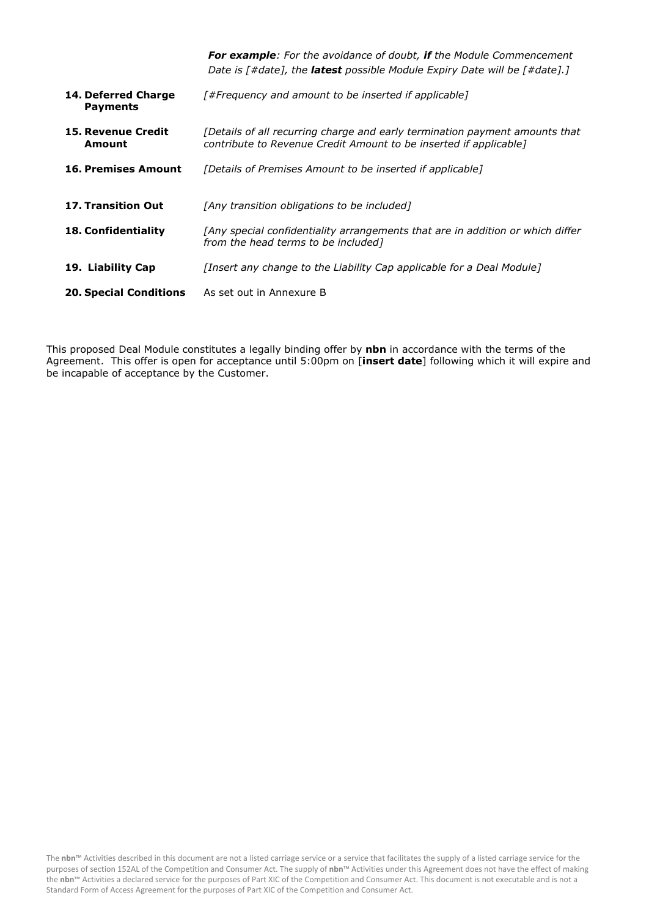|                                        | <b>For example:</b> For the avoidance of doubt, if the Module Commencement<br>Date is [#date], the <b>latest</b> possible Module Expiry Date will be [#date].] |
|----------------------------------------|----------------------------------------------------------------------------------------------------------------------------------------------------------------|
| 14. Deferred Charge<br><b>Payments</b> | [#Frequency and amount to be inserted if applicable]                                                                                                           |
| <b>15. Revenue Credit</b><br>Amount    | [Details of all recurring charge and early termination payment amounts that<br>contribute to Revenue Credit Amount to be inserted if applicable]               |
| <b>16. Premises Amount</b>             | [Details of Premises Amount to be inserted if applicable]                                                                                                      |
| <b>17. Transition Out</b>              | [Any transition obligations to be included]                                                                                                                    |
| <b>18. Confidentiality</b>             | [Any special confidentiality arrangements that are in addition or which differ<br>from the head terms to be included]                                          |
| 19. Liability Cap                      | [Insert any change to the Liability Cap applicable for a Deal Module]                                                                                          |
| <b>20. Special Conditions</b>          | As set out in Annexure B                                                                                                                                       |

This proposed Deal Module constitutes a legally binding offer by **nbn** in accordance with the terms of the Agreement. This offer is open for acceptance until 5:00pm on [**insert date**] following which it will expire and be incapable of acceptance by the Customer.

The **nbn**™ Activities described in this document are not a listed carriage service or a service that facilitates the supply of a listed carriage service for the purposes of section 152AL of the Competition and Consumer Act. The supply of **nbn**™ Activities under this Agreement does not have the effect of making the **nbn**™ Activities a declared service for the purposes of Part XIC of the Competition and Consumer Act. This document is not executable and is not a Standard Form of Access Agreement for the purposes of Part XIC of the Competition and Consumer Act.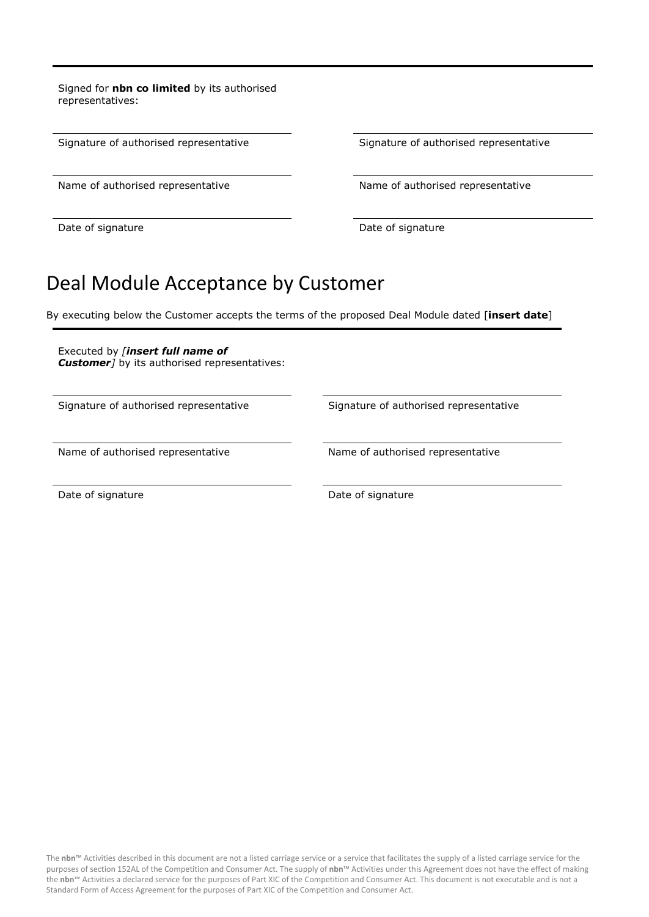Signed for **nbn co limited** by its authorised representatives:

Signature of authorised representative Signature of authorised representative

Name of authorised representative Name of authorised representative

Date of signature Date of signature Date of signature

## Deal Module Acceptance by Customer

By executing below the Customer accepts the terms of the proposed Deal Module dated [**insert date**]

Executed by *[insert full name of Customer]* by its authorised representatives:

Signature of authorised representative Signature of authorised representative

Name of authorised representative Name of authorised representative

Date of signature Date of signature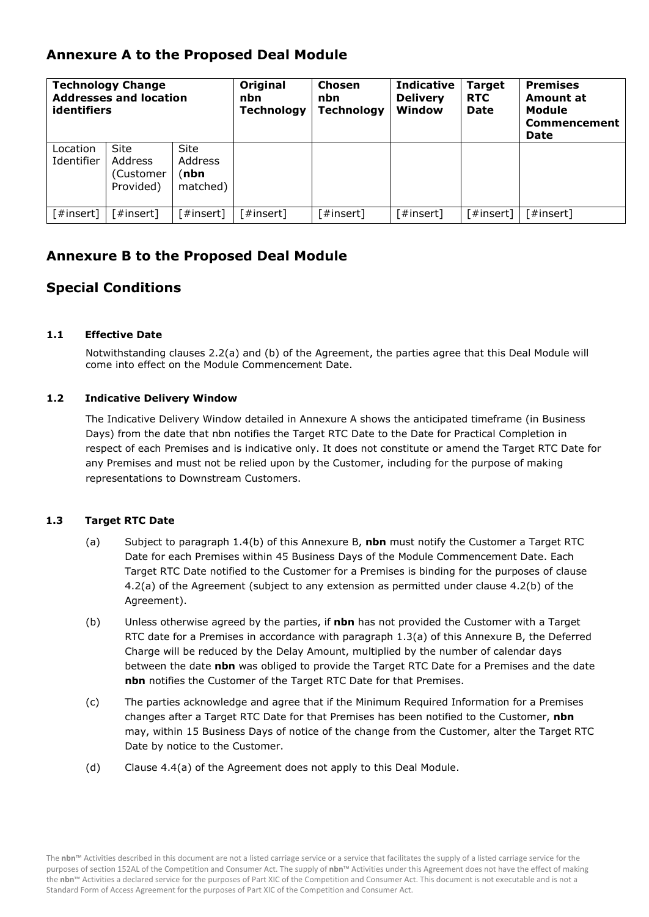## **Annexure A to the Proposed Deal Module**

| <b>Technology Change</b><br><b>Addresses and location</b><br>identifiers |                                                  |                                             | Original<br>nbn<br><b>Technology</b> | Chosen<br>nbn<br><b>Technology</b> | <b>Indicative</b><br><b>Delivery</b><br>Window | Target<br><b>RTC</b><br><b>Date</b> | <b>Premises</b><br>Amount at<br>Module<br><b>Commencement</b><br><b>Date</b> |
|--------------------------------------------------------------------------|--------------------------------------------------|---------------------------------------------|--------------------------------------|------------------------------------|------------------------------------------------|-------------------------------------|------------------------------------------------------------------------------|
| Location<br>Identifier                                                   | <b>Site</b><br>Address<br>(Customer<br>Provided) | <b>Site</b><br>Address<br>(nbn)<br>matched) |                                      |                                    |                                                |                                     |                                                                              |
| [#insert]                                                                | 「#insert]                                        | 「#insert]                                   | [#insert]                            | [#insert]                          | [#insert]                                      | 「#insert]                           | [#insert]                                                                    |

## **Annexure B to the Proposed Deal Module**

## **Special Conditions**

### **1.1 Effective Date**

Notwithstanding clauses 2.2(a) and (b) of the Agreement, the parties agree that this Deal Module will come into effect on the Module Commencement Date.

### **1.2 Indicative Delivery Window**

The Indicative Delivery Window detailed in Annexure A shows the anticipated timeframe (in Business Days) from the date that nbn notifies the Target RTC Date to the Date for Practical Completion in respect of each Premises and is indicative only. It does not constitute or amend the Target RTC Date for any Premises and must not be relied upon by the Customer, including for the purpose of making representations to Downstream Customers.

#### **1.3 Target RTC Date**

- (a) Subject to paragraph 1.4(b) of this Annexure B, **nbn** must notify the Customer a Target RTC Date for each Premises within 45 Business Days of the Module Commencement Date. Each Target RTC Date notified to the Customer for a Premises is binding for the purposes of clause 4.2(a) of the Agreement (subject to any extension as permitted under clause 4.2(b) of the Agreement).
- (b) Unless otherwise agreed by the parties, if **nbn** has not provided the Customer with a Target RTC date for a Premises in accordance with paragraph 1.3(a) of this Annexure B, the Deferred Charge will be reduced by the Delay Amount, multiplied by the number of calendar days between the date **nbn** was obliged to provide the Target RTC Date for a Premises and the date **nbn** notifies the Customer of the Target RTC Date for that Premises.
- (c) The parties acknowledge and agree that if the Minimum Required Information for a Premises changes after a Target RTC Date for that Premises has been notified to the Customer, **nbn** may, within 15 Business Days of notice of the change from the Customer, alter the Target RTC Date by notice to the Customer.
- (d) Clause 4.4(a) of the Agreement does not apply to this Deal Module.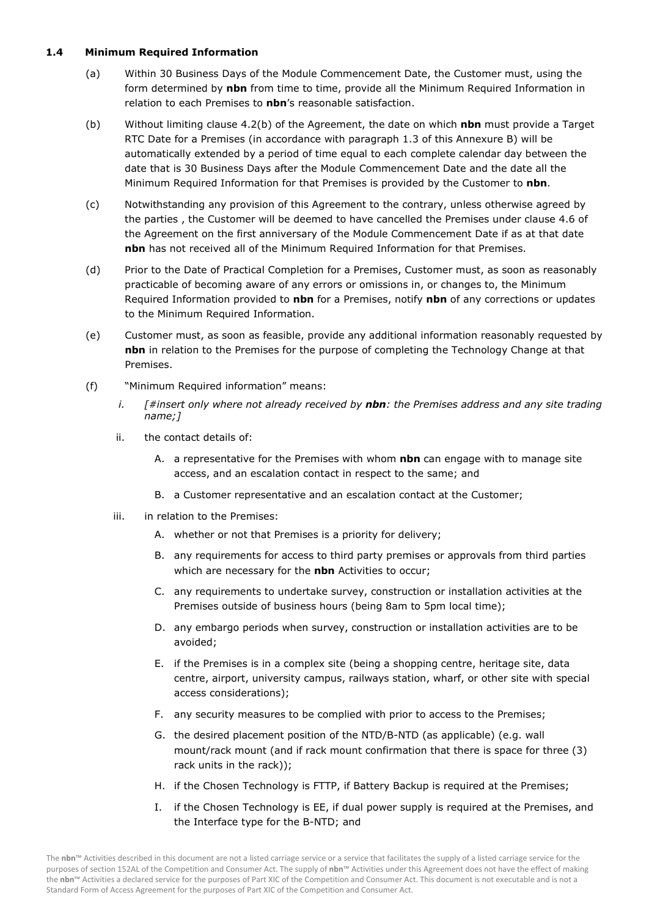#### **1.4 Minimum Required Information**

- (a) Within 30 Business Days of the Module Commencement Date, the Customer must, using the form determined by **nbn** from time to time, provide all the Minimum Required Information in relation to each Premises to **nbn**'s reasonable satisfaction.
- (b) Without limiting clause 4.2(b) of the Agreement, the date on which **nbn** must provide a Target RTC Date for a Premises (in accordance with paragraph 1.3 of this Annexure B) will be automatically extended by a period of time equal to each complete calendar day between the date that is 30 Business Days after the Module Commencement Date and the date all the Minimum Required Information for that Premises is provided by the Customer to **nbn**.
- (c) Notwithstanding any provision of this Agreement to the contrary, unless otherwise agreed by the parties , the Customer will be deemed to have cancelled the Premises under clause 4.6 of the Agreement on the first anniversary of the Module Commencement Date if as at that date **nbn** has not received all of the Minimum Required Information for that Premises.
- (d) Prior to the Date of Practical Completion for a Premises, Customer must, as soon as reasonably practicable of becoming aware of any errors or omissions in, or changes to, the Minimum Required Information provided to **nbn** for a Premises, notify **nbn** of any corrections or updates to the Minimum Required Information.
- (e) Customer must, as soon as feasible, provide any additional information reasonably requested by **nbn** in relation to the Premises for the purpose of completing the Technology Change at that Premises.
- (f) "Minimum Required information" means:
	- *i. [#insert only where not already received by nbn: the Premises address and any site trading name;]*
	- ii. the contact details of:
		- A. a representative for the Premises with whom **nbn** can engage with to manage site access, and an escalation contact in respect to the same; and
		- B. a Customer representative and an escalation contact at the Customer;
	- iii. in relation to the Premises:
		- A. whether or not that Premises is a priority for delivery;
		- B. any requirements for access to third party premises or approvals from third parties which are necessary for the **nbn** Activities to occur;
		- C. any requirements to undertake survey, construction or installation activities at the Premises outside of business hours (being 8am to 5pm local time);
		- D. any embargo periods when survey, construction or installation activities are to be avoided;
		- E. if the Premises is in a complex site (being a shopping centre, heritage site, data centre, airport, university campus, railways station, wharf, or other site with special access considerations);
		- F. any security measures to be complied with prior to access to the Premises;
		- G. the desired placement position of the NTD/B-NTD (as applicable) (e.g. wall mount/rack mount (and if rack mount confirmation that there is space for three (3) rack units in the rack));
		- H. if the Chosen Technology is FTTP, if Battery Backup is required at the Premises;
		- I. if the Chosen Technology is EE, if dual power supply is required at the Premises, and the Interface type for the B-NTD; and